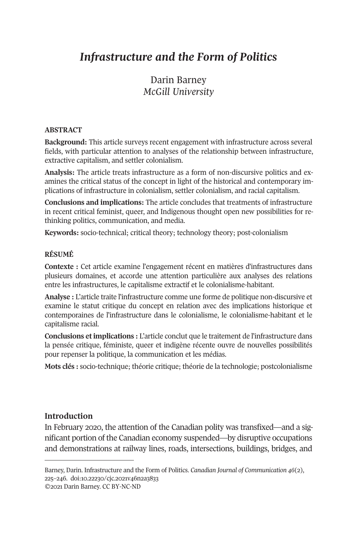# *Infrastructure and the Form of Politics*

Darin Barney *McGill University* 

#### **ABSTRACT**

**Background:** This article surveys recent engagement with infrastructure across several fields, with particular attention to analyses of the relationship between infrastructure, extractive capitalism, and settler colonialism.

**Analysis:** The article treats infrastructure as a form of non-discursive politics and examines the critical status of the concept in light of the historical and contemporary implications of infrastructure in colonialism, settler colonialism, and racial capitalism.

**Conclusions and implications:** The article concludes that treatments of infrastructure in recent critical feminist, queer, and Indigenous thought open new possibilities for rethinking politics, communication, and media.

**Keywords:** socio-technical; critical theory; technology theory; post-colonialism

# **RÉSUMÉ**

**Contexte :** Cet article examine l'engagement récent en matières d'infrastructures dans plusieurs domaines, et accorde une attention particulière aux analyses des relations entre les infrastructures, le capitalisme extractif et le colonialisme-habitant.

**Analyse :** L'article traite l'infrastructure comme une forme de politique non-discursive et examine le statut critique du concept en relation avec des implications historique et contemporaines de l'infrastructure dans le colonialisme, le colonialisme-habitant et le capitalisme racial.

**Conclusions et implications :** L'article conclut que le traitement de l'infrastructure dans la pensée critique, féministe, queer et indigène récente ouvre de nouvelles possibilités pour repen[ser la politique, la commun](https://doi.org/10.22230/cjc.2021v46n2a3833)ication et les médias.

**Mots clés :** socio-technique; théorie critique; théorie de la technologie; postcolonialisme

## **Introduction**

In February 2020, the attention of the Canadian polity was transfixed—and a significant portion of the Canadian economy suspended—by disruptive occupations and demonstrations at railway lines, roads, intersections, buildings, bridges, and

Barney, Darin. Infrastructure and the Form of Politics. *Canadian Journal of Communication 46*(2), 225–246. doi:10.22230/cjc.2021v46n2a3833 ©2021 Darin Barney. CC BY-NC-ND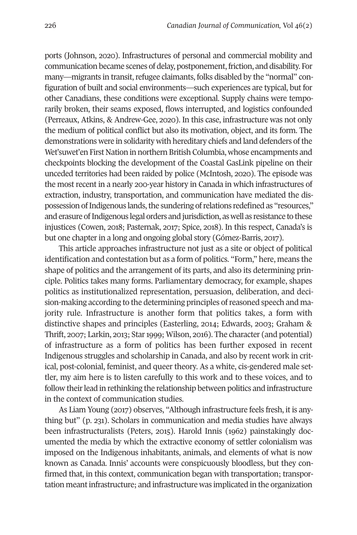ports (Johnson, 2020). Infrastructures of personal and commercial mobility and communication became scenes of delay, postponement, friction, and disability. For many—migrants in transit, refugee claimants, folks disabled by the "normal" configuration of built and social environments—such experiences are typical, but for other Canadians, these conditions were exceptional. Supply chains were temporarily broken, their seams exposed, flows interrupted, and logistics confounded (Perreaux, Atkins, & Andrew-Gee, 2020). In this case, infrastructure was not only the medium of political conflict but also its motivation, object, and its form. The demonstrations were in solidarity with hereditary chiefs and land defenders of the Wet'suwet'en First Nation in northern British Columbia, whose encampments and checkpoints blocking the development of the Coastal GasLink pipeline on their unceded territories had been raided by police (McIntosh, 2020). The episode was the most recent in a nearly 200-year history in Canada in which infrastructures of extraction, industry, transportation, and communication have mediated the dispossession of Indigenous lands, the sundering of relations redefined as "resources," and erasure of Indigenous legal orders and jurisdiction, as well as resistance to these injustices (Cowen, 2018; Pasternak, 2017; Spice, 2018). In this respect, Canada's is but one chapter in a long and ongoing global story (Gómez-Barris, 2017).

This article approaches infrastructure not just as a site or object of political identification and contestation but as a form of politics. "Form," here, means the shape of politics and the arrangement of its parts, and also its determining principle. Politics takes many forms. Parliamentary democracy, for example, shapes politics as institutionalized representation, persuasion, deliberation, and decision-making according to the determining principles of reasoned speech and majority rule. Infrastructure is another form that politics takes, a form with distinctive shapes and principles (Easterling, 2014; Edwards, 2003; Graham & Thrift, 2007; Larkin, 2013; Star 1999; Wilson, 2016). The character (and potential) of infrastructure as a form of politics has been further exposed in recent Indigenous struggles and scholarship in Canada, and also by recent work in critical, post-colonial, feminist, and queer theory. As a white, cis-gendered male settler, my aim here is to listen carefully to this work and to these voices, and to follow their lead in rethinking the relationship between politics and infrastructure in the context of communication studies.

As Liam Young (2017) observes, "Although infrastructure feels fresh, it is anything but" (p. 231). Scholars in communication and media studies have always been infrastructuralists (Peters, 2015). Harold Innis (1962) painstakingly documented the media by which the extractive economy of settler colonialism was imposed on the Indigenous inhabitants, animals, and elements of what is now known as Canada. Innis' accounts were conspicuously bloodless, but they confirmed that, in this context, communication began with transportation; transportation meant infrastructure; and infrastructure was implicated in the organization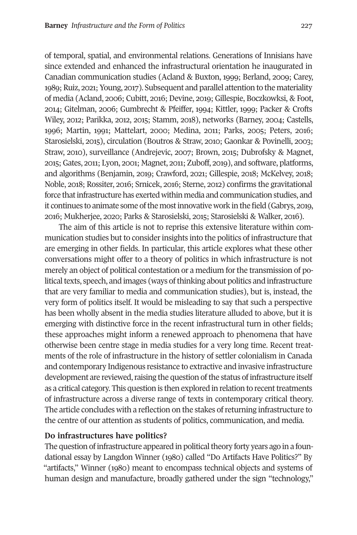of temporal, spatial, and environmental relations. Generations of Innisians have since extended and enhanced the infrastructural orientation he inaugurated in Canadian communication studies (Acland & Buxton, 1999; Berland, 2009; Carey, 1989; Ruiz, 2021; Young, 2017). Subsequent and parallel attention to the materiality of media (Acland, 2006; Cubitt, 2016; Devine, 2019; Gillespie, Boczkowksi, & Foot, 2014; Gitelman, 2006; Gumbrecht & Pfeiffer, 1994; Kittler, 1999; Packer & Crofts Wiley, 2012; Parikka, 2012, 2015; Stamm, 2018), networks (Barney, 2004; Castells, 1996; Martin, 1991; Mattelart, 2000; Medina, 2011; Parks, 2005; Peters, 2016; Starosielski, 2015), circulation (Boutros & Straw, 2010; Gaonkar & Povinelli, 2003; Straw, 2010), surveillance (Andrejevic, 2007; Brown, 2015; Dubrofsky & Magnet, 2015; Gates, 2011; Lyon, 2001; Magnet, 2011; Zuboff, 2019), and software, platforms, and algorithms (Benjamin, 2019; Crawford, 2021; Gillespie, 2018; McKelvey, 2018; Noble, 2018; Rossiter, 2016; Srnicek, 2016; Sterne, 2012) confirms the gravitational force that infrastructure has exerted within media and communication studies, and it continues to animate some of the most innovative work in the field (Gabrys, 2019, 2016; Mukherjee, 2020; Parks & Starosielski, 2015; Starosielski & Walker, 2016).

The aim of this article is not to reprise this extensive literature within communication studies but to consider insights into the politics of infrastructure that are emerging in other fields. In particular, this article explores what these other conversations might offer to a theory of politics in which infrastructure is not merely an object of political contestation or a medium for the transmission of political texts, speech, and images (ways of thinking about politics and infrastructure that are very familiar to media and communication studies), but is, instead, the very form of politics itself. It would be misleading to say that such a perspective has been wholly absent in the media studies literature alluded to above, but it is emerging with distinctive force in the recent infrastructural turn in other fields; these approaches might inform a renewed approach to phenomena that have otherwise been centre stage in media studies for a very long time. Recent treatments of the role of infrastructure in the history of settler colonialism in Canada and contemporary Indigenous resistance to extractive and invasive infrastructure development are reviewed, raising the question of the status of infrastructure itself as a critical category. This question is then explored in relation to recent treatments of infrastructure across a diverse range of texts in contemporary critical theory. The article concludes with a reflection on the stakes of returning infrastructure to the centre of our attention as students of politics, communication, and media.

### **Do infrastructures have politics?**

The question of infrastructure appeared in political theory forty years ago in a foundational essay by Langdon Winner (1980) called "Do Artifacts Have Politics?" By "artifacts," Winner (1980) meant to encompass technical objects and systems of human design and manufacture, broadly gathered under the sign "technology,"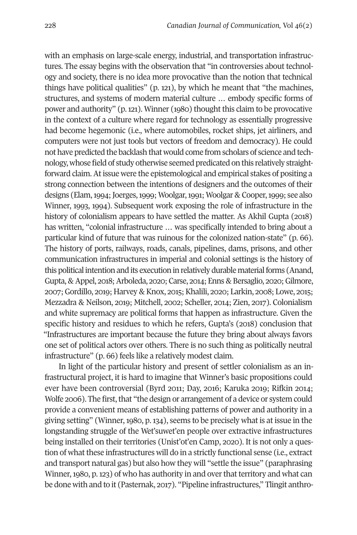with an emphasis on large-scale energy, industrial, and transportation infrastructures. The essay begins with the observation that "in controversies about technology and society, there is no idea more provocative than the notion that technical things have political qualities" (p. 121), by which he meant that "the machines, structures, and systems of modern material culture … embody specific forms of power and authority" (p. 121). Winner (1980) thought this claim to be provocative in the context of a culture where regard for technology as essentially progressive had become hegemonic (i.e., where automobiles, rocket ships, jet airliners, and computers were not just tools but vectors of freedom and democracy). He could not have predicted the backlash that would come from scholars of science and technology, whose field of study otherwise seemed predicated on this relatively straightforward claim. At issue were the epistemological and empirical stakes of positing a strong connection between the intentions of designers and the outcomes of their designs (Elam, 1994; Joerges, 1999; Woolgar, 1991; Woolgar & Cooper, 1999; see also Winner, 1993, 1994). Subsequent work exposing the role of infrastructure in the history of colonialism appears to have settled the matter. As Akhil Gupta (2018) has written, "colonial infrastructure … was specifically intended to bring about a particular kind of future that was ruinous for the colonized nation-state" (p. 66). The history of ports, railways, roads, canals, pipelines, dams, prisons, and other communication infrastructures in imperial and colonial settings is the history of this political intention and its execution in relatively durable material forms (Anand, Gupta, & Appel, 2018; Arboleda, 2020; Carse, 2014; Enns & Bersaglio, 2020; Gilmore, 2007; Gordillo, 2019; Harvey & Knox, 2015; Khalili, 2020; Larkin, 2008; Lowe, 2015; Mezzadra & Neilson, 2019; Mitchell, 2002; Scheller, 2014; Zien, 2017). Colonialism and white supremacy are political forms that happen as infrastructure. Given the specific history and residues to which he refers, Gupta's (2018) conclusion that "Infrastructures are important because the future they bring about always favors one set of political actors over others. There is no such thing as politically neutral infrastructure" (p. 66) feels like a relatively modest claim.

In light of the particular history and present of settler colonialism as an infrastructural project, it is hard to imagine that Winner's basic propositions could ever have been controversial (Byrd 2011; Day, 2016; Karuka 2019; Rifkin 2014; Wolfe 2006). The first, that "the design or arrangement of a device or system could provide a convenient means of establishing patterns of power and authority in a giving setting" (Winner, 1980, p. 134), seems to be precisely what is at issue in the longstanding struggle of the Wet'suwet'en people over extractive infrastructures being installed on their territories (Unist'ot'en Camp, 2020). It is not only a question of what these infrastructures will do in a strictly functional sense (i.e., extract and transport natural gas) but also how they will "settle the issue" (paraphrasing Winner, 1980, p. 123) of who has authority in and over that territory and what can be done with and to it (Pasternak, 2017). "Pipeline infrastructures," Tlingit anthro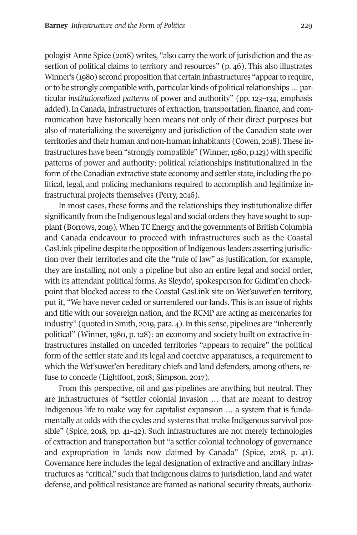pologist Anne Spice (2018) writes, "also carry the work of jurisdiction and the assertion of political claims to territory and resources" (p. 46). This also illustrates Winner's (1980) second proposition that certain infrastructures "appear to require, or to be strongly compatible with, particular kinds of political relationships … particular *institutionalized patterns* of power and authority" (pp. 123–134, emphasis added). In Canada, infrastructures of extraction, transportation, finance, and communication have historically been means not only of their direct purposes but also of materializing the sovereignty and jurisdiction of the Canadian state over territories and their human and non-human inhabitants (Cowen, 2018). These infrastructures have been "strongly compatible" (Winner, 1980, p.123) with specific patterns of power and authority: political relationships institutionalized in the form of the Canadian extractive state economy and settler state, including the political, legal, and policing mechanisms required to accomplish and legitimize infrastructural projects themselves (Perry, 2016).

In most cases, these forms and the relationships they institutionalize differ significantly from the Indigenous legal and social orders they have sought to supplant (Borrows, 2019). When TC Energy and the governments of British Columbia and Canada endeavour to proceed with infrastructures such as the Coastal GasLink pipeline despite the opposition of Indigenous leaders asserting jurisdiction over their territories and cite the "rule of law" as justification, for example, they are installing not only a pipeline but also an entire legal and social order, with its attendant political forms. As Sleydo', spokesperson for Gidimt'en checkpoint that blocked access to the Coastal GasLink site on Wet'suwet'en territory, put it, "We have never ceded or surrendered our lands. This is an issue of rights and title with our sovereign nation, and the RCMP are acting as mercenaries for industry" (quoted in Smith, 2019, para. 4). In this sense, pipelines are "inherently political" (Winner, 1980, p. 128): an economy and society built on extractive infrastructures installed on unceded territories "appears to require" the political form of the settler state and its legal and coercive apparatuses, a requirement to which the Wet'suwet'en hereditary chiefs and land defenders, among others, refuse to concede (Lightfoot, 2018; Simpson, 2017).

From this perspective, oil and gas pipelines are anything but neutral. They are infrastructures of "settler colonial invasion … that are meant to destroy Indigenous life to make way for capitalist expansion … a system that is fundamentally at odds with the cycles and systems that make Indigenous survival possible" (Spice, 2018, pp. 41–42). Such infrastructures are not merely technologies of extraction and transportation but "a settler colonial technology of governance and expropriation in lands now claimed by Canada" (Spice, 2018, p. 41). Governance here includes the legal designation of extractive and ancillary infrastructures as "critical," such that Indigenous claims to jurisdiction, land and water defense, and political resistance are framed as national security threats, authoriz-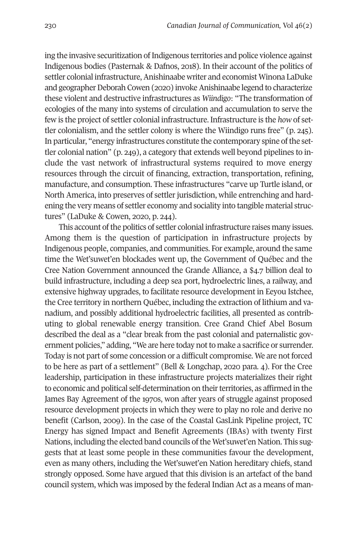ing the invasive securitization of Indigenous territories and police violence against Indigenous bodies (Pasternak & Dafnos, 2018). In their account of the politics of settler colonial infrastructure, Anishinaabe writer and economist Winona LaDuke and geographer Deborah Cowen (2020) invoke Anishinaabe legend to characterize these violent and destructive infrastructures as *Wiindigo*: "The transformation of ecologies of the many into systems of circulation and accumulation to serve the few is the project of settler colonial infrastructure. Infrastructure is the *how* of settler colonialism, and the settler colony is where the Wiindigo runs free" (p. 245). In particular, "energy infrastructures constitute the contemporary spine of the settler colonial nation" (p. 249), a category that extends well beyond pipelines to include the vast network of infrastructural systems required to move energy resources through the circuit of financing, extraction, transportation, refining, manufacture, and consumption. These infrastructures "carve up Turtle island, or North America, into preserves of settler jurisdiction, while entrenching and hardening the very means of settler economy and sociality into tangible material structures" (LaDuke & Cowen, 2020, p. 244).

This account of the politics of settler colonial infrastructure raises many issues. Among them is the question of participation in infrastructure projects by Indigenous people, companies, and communities. For example, around the same time the Wet'suwet'en blockades went up, the Government of Québec and the Cree Nation Government announced the Grande Alliance, a \$4.7 billion deal to build infrastructure, including a deep sea port, hydroelectric lines, a railway, and extensive highway upgrades, to facilitate resource development in Eeyou Istchee, the Cree territory in northern Québec, including the extraction of lithium and vanadium, and possibly additional hydroelectric facilities, all presented as contributing to global renewable energy transition. Cree Grand Chief Abel Bosum described the deal as a "clear break from the past colonial and paternalistic government policies," adding, "We are here today not to make a sacrifice or surrender. Today is not part of some concession or a difficult compromise. We are not forced to be here as part of a settlement" (Bell & Longchap, 2020 para. 4). For the Cree leadership, participation in these infrastructure projects materializes their right to economic and political self-determination on their territories, as affirmed in the James Bay Agreement of the 1970s, won after years of struggle against proposed resource development projects in which they were to play no role and derive no benefit (Carlson, 2009). In the case of the Coastal GasLink Pipeline project, TC Energy has signed Impact and Benefit Agreements (IBAs) with twenty First Nations, including the elected band councils of the Wet'suwet'en Nation. This suggests that at least some people in these communities favour the development, even as many others, including the Wet'suwet'en Nation hereditary chiefs, stand strongly opposed. Some have argued that this division is an artefact of the band council system, which was imposed by the federal Indian Act as a means of man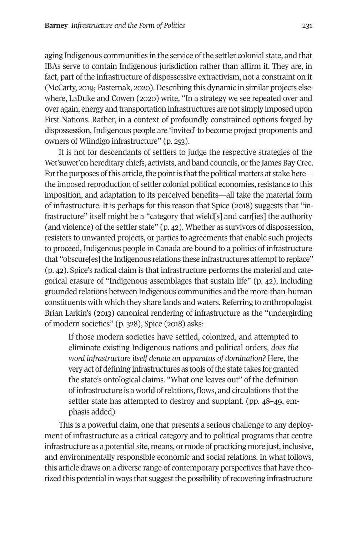aging Indigenous communities in the service of the settler colonial state, and that IBAs serve to contain Indigenous jurisdiction rather than affirm it. They are, in fact, part of the infrastructure of dispossessive extractivism, not a constraint on it (McCarty, 2019; Pasternak, 2020). Describing this dynamic in similar projects elsewhere, LaDuke and Cowen (2020) write, "In a strategy we see repeated over and over again, energy and transportation infrastructures are not simply imposed upon First Nations. Rather, in a context of profoundly constrained options forged by dispossession, Indigenous people are 'invited' to become project proponents and owners of Wiindigo infrastructure" (p. 253).

It is not for descendants of settlers to judge the respective strategies of the Wet'suwet'en hereditary chiefs, activists, and band councils, or the James Bay Cree. For the purposes of this article, the point is that the political matters at stake here the imposed reproduction of settler colonial political economies, resistance to this imposition, and adaptation to its perceived benefits—all take the material form of infrastructure. It is perhaps for this reason that Spice (2018) suggests that "infrastructure" itself might be a "category that wield[s] and carr[ies] the authority (and violence) of the settler state" (p. 42). Whether as survivors of dispossession, resisters to unwanted projects, or parties to agreements that enable such projects to proceed, Indigenous people in Canada are bound to a politics of infrastructure that "obscure[es] the Indigenous relations these infrastructures attempt to replace" (p. 42). Spice's radical claim is that infrastructure performs the material and categorical erasure of "Indigenous assemblages that sustain life" (p. 42), including grounded relations between Indigenous communities and the more-than-human constituents with which they share lands and waters. Referring to anthropologist Brian Larkin's (2013) canonical rendering of infrastructure as the "undergirding of modern societies" (p. 328), Spice (2018) asks:

If those modern societies have settled, colonized, and attempted to eliminate existing Indigenous nations and political orders, *does the word infrastructure itself denote an apparatus of domination?* Here, the very act of defining infrastructures as tools of the state takes for granted the state's ontological claims. "What one leaves out" of the definition of infrastructure is a world of relations, flows, and circulations that the settler state has attempted to destroy and supplant. (pp. 48–49, emphasis added)

This is a powerful claim, one that presents a serious challenge to any deployment of infrastructure as a critical category and to political programs that centre infrastructure as a potential site, means, or mode of practicing more just, inclusive, and environmentally responsible economic and social relations. In what follows, this article draws on a diverse range of contemporary perspectives that have theorized this potential in ways that suggest the possibility of recovering infrastructure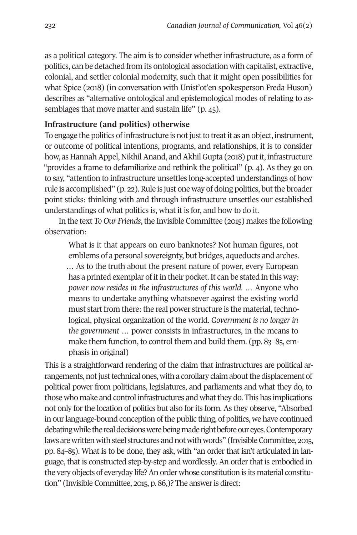as a political category. The aim is to consider whether infrastructure, as a form of politics, can be detached from its ontological association with capitalist, extractive, colonial, and settler colonial modernity, such that it might open possibilities for what Spice (2018) (in conversation with Unist'ot'en spokesperson Freda Huson) describes as "alternative ontological and epistemological modes of relating to assemblages that move matter and sustain life" (p. 45).

#### **Infrastructure (and politics) otherwise**

To engage the politics of infrastructure is not just to treat it as an object, instrument, or outcome of political intentions, programs, and relationships, it is to consider how, as Hannah Appel, Nikhil Anand, and Akhil Gupta (2018) put it, infrastructure "provides a frame to defamiliarize and rethink the political" (p. 4). As they go on to say, "attention to infrastructure unsettles long-accepted understandings of how rule is accomplished" (p. 22). Rule is just one way of doing politics, but the broader point sticks: thinking with and through infrastructure unsettles our established understandings of what politics is, what it is for, and how to do it.

In the text *To Our Friends*, the Invisible Committee (2015) makes the following observation:

What is it that appears on euro banknotes? Not human figures, not emblems of a personal sovereignty, but bridges, aqueducts and arches. … As to the truth about the present nature of power, every European has a printed exemplar of it in their pocket. It can be stated in this way: *power now resides in the infrastructures of this world.* … Anyone who means to undertake anything whatsoever against the existing world must start from there: the real power structure is the material, technological, physical organization of the world. *Government is no longer in the government* … power consists in infrastructures, in the means to make them function, to control them and build them. (pp. 83–85, emphasis in original)

This is a straightforward rendering of the claim that infrastructures are political arrangements, not just technical ones, with a corollary claim about the displacement of political power from politicians, legislatures, and parliaments and what they do, to those who make and control infrastructures and what they do. This has implications not only for the location of politics but also for its form. As they observe, "Absorbed in our language-bound conception of the public thing, of politics, we have continued debating while the real decisions were being made right before our eyes. Contemporary laws are written with steel structures and not with words" (Invisible Committee, 2015, pp. 84–85). What is to be done, they ask, with "an order that isn't articulated in language, that is constructed step-by-step and wordlessly. An order that is embodied in the very objects of everyday life? An order whose constitution is its material constitution" (Invisible Committee, 2015, p. 86,)? The answer is direct: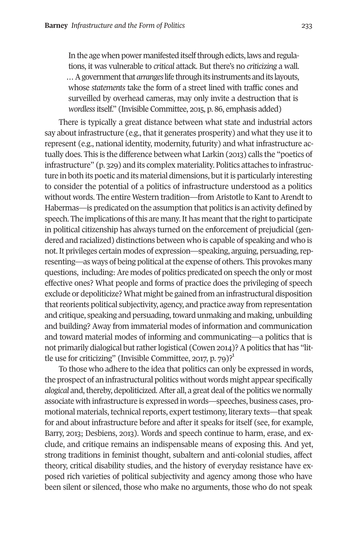#### **Barney** *Infrastructure and the Form of Politics* 233

In the age when power manifested itself through edicts, laws and regulations, it was vulnerable to *critical* attack. But there's no *criticizing* a wall. … A government that *arranges* life through its instruments and its layouts, whose *statements* take the form of a street lined with traffic cones and surveilled by overhead cameras, may only invite a destruction that is *wordless* itself." (Invisible Committee, 2015, p. 86, emphasis added)

There is typically a great distance between what state and industrial actors say about infrastructure (e.g., that it generates prosperity) and what they use it to represent (e.g., national identity, modernity, futurity) and what infrastructure actually does. This is the difference between what Larkin (2013) calls the "poetics of infrastructure" (p. 329) and its complex materiality. Politics attaches to infrastructure in both its poetic and its material dimensions, but it is particularly interesting to consider the potential of a politics of infrastructure understood as a politics without words. The entire Western tradition—from Aristotle to Kant to Arendt to Habermas—is predicated on the assumption that politics is an activity defined by speech. The implications of this are many. It has meant that the right to participate in political citizenship has always turned on the enforce[m](#page-15-0)ent of prejudicial (gendered and racialized) distinctions between who is capable of speaking and who is not. It privileges certain modes of expression—speaking, arguing, persuading, representing—as ways of being political at the expense of others. This provokes many questions, including: Are modes of politics predicated on speech the only or most effective ones? What people and forms of practice does the privileging of speech exclude or depoliticize? What might be gained from an infrastructural disposition that reorients political subjectivity, agency, and practice away from representation and critique, speaking and persuading, toward unmaking and making, unbuilding and building? Away from immaterial modes of information and communication and toward material modes of informing and communicating—a politics that is not primarily dialogical but rather logistical (Cowen 2014)? A politics that has "little use for criticizing" (Invisible Committee, 2017, p. 79)? $1$ 

To those who adhere to the idea that politics can only be expressed in words, the prospect of an infrastructural politics without words might appear specifically *alogical* and, thereby, depoliticized. After all, a great deal of the politics we normally associate with infrastructure is expressed in words—speeches, business cases, promotional materials, technical reports, expert testimony, literary texts—that speak for and about infrastructure before and after it speaks for itself (see, for example, Barry, 2013; Desbiens, 2013). Words and speech continue to harm, erase, and exclude, and critique remains an indispensable means of exposing this. And yet, strong traditions in feminist thought, subaltern and anti-colonial studies, affect theory, critical disability studies, and the history of everyday resistance have exposed rich varieties of political subjectivity and agency among those who have been silent or silenced, those who make no arguments, those who do not speak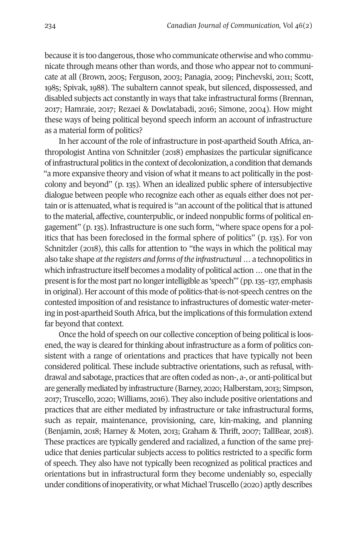because it is too dangerous, those who communicate otherwise and who communicate through means other than words, and those who appear not to communicate at all (Brown, 2005; Ferguson, 2003; Panagia, 2009; Pinchevski, 2011; Scott, 1985; Spivak, 1988). The subaltern cannot speak, but silenced, dispossessed, and disabled subjects act constantly in ways that take infrastructural forms (Brennan, 2017; Hamraie, 2017; Rezaei & Dowlatabadi, 2016; Simone, 2004). How might these ways of being political beyond speech inform an account of infrastructure as a material form of politics?

In her account of the role of infrastructure in post-apartheid South Africa, anthropologist Antina von Schnitzler (2018) emphasizes the particular significance of infrastructural politics in the context of decolonization, a condition that demands "a more expansive theory and vision of what it means to act politically in the postcolony and beyond" (p. 135). When an idealized public sphere of intersubjective dialogue between people who recognize each other as equals either does not pertain or is attenuated, what is required is "an account of the political that is attuned to the material, affective, counterpublic, or indeed nonpublic forms of political engagement" (p. 135). Infrastructure is one such form, "where space opens for a politics that has been foreclosed in the formal sphere of politics" (p. 135). For von Schnitzler (2018), this calls for attention to "the ways in which the political may also take shape *at the registers and forms of the infrastructural* … a technopolitics in which infrastructure itself becomes a modality of political action … one that in the present is for the most part no longer intelligible as 'speech'" (pp. 135–137, emphasis in original). Her account of this mode of politics-that-is-not-speech centres on the contested imposition of and resistance to infrastructures of domestic water-metering in post-apartheid South Africa, but the implications of this formulation extend far beyond that context.

Once the hold of speech on our collective conception of being political is loosened, the way is cleared for thinking about infrastructure as a form of politics consistent with a range of orientations and practices that have typically not been considered political. These include subtractive orientations, such as refusal, withdrawal and sabotage, practices that are often coded as non-, a-, or anti-political but are generally mediated by infrastructure (Barney, 2020; Halberstam, 2013; Simpson, 2017; Truscello, 2020; Williams, 2016). They also include positive orientations and practices that are either mediated by infrastructure or take infrastructural forms, such as repair, maintenance, provisioning, care, kin-making, and planning (Benjamin, 2018; Harney & Moten, 2013; Graham & Thrift, 2007; TallBear, 2018). These practices are typically gendered and racialized, a function of the same prejudice that denies particular subjects access to politics restricted to a specific form of speech. They also have not typically been recognized as political practices and orientations but in infrastructural form they become undeniably so, especially under conditions of inoperativity, or what Michael Truscello (2020) aptly describes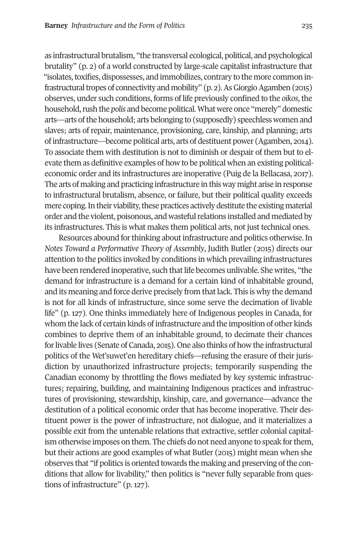as infrastructural brutalism, "the transversal ecological, political, and psychological brutality" (p. 2) of a world constructed by large-scale capitalist infrastructure that "isolates, toxifies, dispossesses, and immobilizes, contrary to the more common infrastructural tropes of connectivity and mobility" (p. 2). As Giorgio Agamben (2015) observes, under such conditions, forms of life previously confined to the *oikos*, the household, rush the *polis* and become political. What were once "merely" domestic arts—arts of the household; arts belonging to (supposedly) speechless women and slaves; arts of repair, maintenance, provisioning, care, kinship, and planning; arts of infrastructure—become political arts, arts of destituent power (Agamben, 2014). To associate them with destitution is not to diminish or despair of them but to elevate them as definitive examples of how to be political when an existing politicaleconomic order and its infrastructures are inoperative (Puig de la Bellacasa, 2017). The arts of making and practicing infrastructure in this way might arise in response to infrastructural brutalism, absence, or failure, but their political quality exceeds mere coping. In their viability, these practices actively destitute the existing material order and the violent, poisonous, and wasteful relations installed and mediated by its infrastructures. This is what makes them political arts, not just technical ones.

Resources abound for thinking about infrastructure and politics otherwise. In *Notes Toward a Performative Theory of Assembly*, Judith Butler (2015) directs our attention to the politics invoked by conditions in which prevailing infrastructures have been rendered inoperative, such that life becomes unlivable. She writes, "the demand for infrastructure is a demand for a certain kind of inhabitable ground, and its meaning and force derive precisely from that lack. This is why the demand is not for all kinds of infrastructure, since some serve the decimation of livable life" (p. 127). One thinks immediately here of Indigenous peoples in Canada, for whom the lack of certain kinds of infrastructure and the imposition of other kinds combines to deprive them of an inhabitable ground, to decimate their chances for livable lives (Senate of Canada, 2015). One also thinks of how the infrastructural politics of the Wet'suwet'en hereditary chiefs—refusing the erasure of their jurisdiction by unauthorized infrastructure projects; temporarily suspending the Canadian economy by throttling the flows mediated by key systemic infrastructures; repairing, building, and maintaining Indigenous practices and infrastructures of provisioning, stewardship, kinship, care, and governance—advance the destitution of a political economic order that has become inoperative. Their destituent power is the power of infrastructure, not dialogue, and it materializes a possible exit from the untenable relations that extractive, settler colonial capitalism otherwise imposes on them. The chiefs do not need anyone to speak for them, but their actions are good examples of what Butler (2015) might mean when she observes that "if politics is oriented towards the making and preserving of the conditions that allow for livability," then politics is "never fully separable from questions of infrastructure" (p. 127).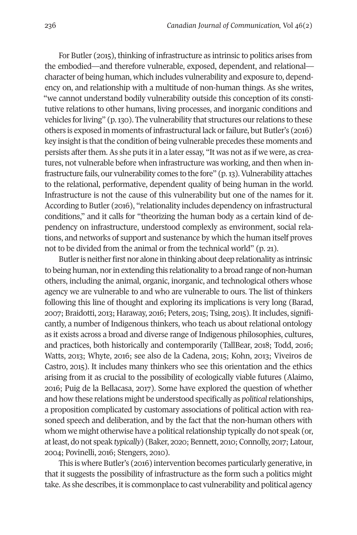For Butler (2015), thinking of infrastructure as intrinsic to politics arises from the embodied—and therefore vulnerable, exposed, dependent, and relational character of being human, which includes vulnerability and exposure to, dependency on, and relationship with a multitude of non-human things. As she writes, "we cannot understand bodily vulnerability outside this conception of its constitutive relations to other humans, living processes, and inorganic conditions and vehicles for living" (p. 130). The vulnerability that structures our relations to these others is exposed in moments of infrastructural lack or failure, but Butler's (2016) key insight is that the condition of being vulnerable precedes these moments and persists after them. As she puts it in a later essay, "It was not as if we were, as creatures, not vulnerable before when infrastructure was working, and then when infrastructure fails, our vulnerability comes to the fore" (p. 13). Vulnerability attaches to the relational, performative, dependent quality of being human in the world. Infrastructure is not the cause of this vulnerability but one of the names for it. According to Butler (2016), "relationality includes dependency on infrastructural conditions," and it calls for "theorizing the human body as a certain kind of dependency on infrastructure, understood complexly as environment, social relations, and networks of support and sustenance by which the human itself proves not to be divided from the animal or from the technical world" (p. 21).

Butler is neither first nor alone in thinking about deep relationality as intrinsic to being human, nor in extending this relationality to a broad range of non-human others, including the animal, organic, inorganic, and technological others whose agency we are vulnerable to and who are vulnerable to ours. The list of thinkers following this line of thought and exploring its implications is very long (Barad, 2007; Braidotti, 2013; Haraway, 2016; Peters, 2015; Tsing, 2015). It includes, significantly, a number of Indigenous thinkers, who teach us about relational ontology as it exists across a broad and diverse range of Indigenous philosophies, cultures, and practices, both historically and contemporarily (TallBear, 2018; Todd, 2016; Watts, 2013; Whyte, 2016; see also de la Cadena, 2015; Kohn, 2013; Viveiros de Castro, 2015). It includes many thinkers who see this orientation and the ethics arising from it as crucial to the possibility of ecologically viable futures (Alaimo, 2016; Puig de la Bellacasa, 2017). Some have explored the question of whether and how these relations might be understood specifically as *political* relationships, a proposition complicated by customary associations of political action with reasoned speech and deliberation, and by the fact that the non-human others with whom we might otherwise have a political relationship typically do not speak (or, at least, do not speak *typically*) (Baker, 2020; Bennett, 2010; Connolly, 2017; Latour, 2004; Povinelli, 2016; Stengers, 2010).

This is where Butler's (2016) intervention becomes particularly generative, in that it suggests the possibility of infrastructure as the form such a politics might take. As she describes, it is commonplace to cast vulnerability and political agency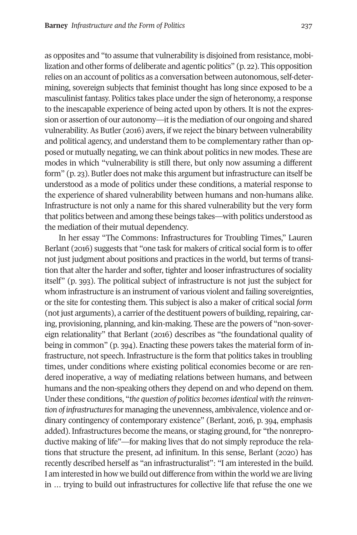as opposites and "to assume that vulnerability is disjoined from resistance, mobilization and other forms of deliberate and agentic politics" (p. 22). This opposition relies on an account of politics as a conversation between autonomous, self-determining, sovereign subjects that feminist thought has long since exposed to be a masculinist fantasy. Politics takes place under the sign of heteronomy, a response to the inescapable experience of being acted upon by others. It is not the expression or assertion of our autonomy—it is the mediation of our ongoing and shared vulnerability. As Butler (2016) avers, if we reject the binary between vulnerability and political agency, and understand them to be complementary rather than opposed or mutually negating, we can think about politics in new modes. These are modes in which "vulnerability is still there, but only now assuming a different form" (p. 23). Butler does not make this argument but infrastructure can itself be understood as a mode of politics under these conditions, a material response to the experience of shared vulnerability between humans and non-humans alike. Infrastructure is not only a name for this shared vulnerability but the very form that politics between and among these beings takes—with politics understood as the mediation of their mutual dependency.

In her essay "The Commons: Infrastructures for Troubling Times," Lauren Berlant (2016) suggests that "one task for makers of critical social form is to offer not just judgment about positions and practices in the world, but terms of transition that alter the harder and softer, tighter and looser infrastructures of sociality itself" (p. 393). The political subject of infrastructure is not just the subject for whom infrastructure is an instrument of various violent and failing sovereignties, or the site for contesting them. This subject is also a maker of critical social *form* (not just arguments), a carrier of the destituent powers of building, repairing, caring, provisioning, planning, and kin-making. These are the powers of "non-sovereign relationality" that Berlant (2016) describes as "the foundational quality of being in common" (p. 394). Enacting these powers takes the material form of infrastructure, not speech. Infrastructure is the form that politics takes in troubling times, under conditions where existing political economies become or are rendered inoperative, a way of mediating relations between humans, and between humans and the non-speaking others they depend on and who depend on them. Under these conditions, "*the question of politics becomes identical with the reinvention of infrastructures* for managing the unevenness, ambivalence, violence and ordinary contingency of contemporary existence" (Berlant, 2016, p. 394, emphasis added). Infrastructures become the means, or staging ground, for "the nonreproductive making of life"—for making lives that do not simply reproduce the relations that structure the present, ad infinitum. In this sense, Berlant (2020) has recently described herself as "an infrastructuralist": "I am interested in the build. I am interested in how we build out difference from within the world we are living in … trying to build out infrastructures for collective life that refuse the one we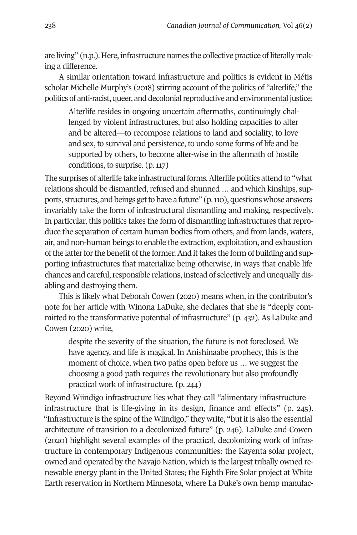are living" (n.p.). Here, infrastructure names the collective practice of literally making a difference.

A similar orientation toward infrastructure and politics is evident in Métis scholar Michelle Murphy's (2018) stirring account of the politics of "alterlife," the politics of anti-racist, queer, and decolonial reproductive and environmental justice:

Alterlife resides in ongoing uncertain aftermaths, continuingly challenged by violent infrastructures, but also holding capacities to alter and be altered—to recompose relations to land and sociality, to love and sex, to survival and persistence, to undo some forms of life and be supported by others, to become alter-wise in the aftermath of hostile conditions, to surprise. (p. 117)

The surprises of alterlife take infrastructural forms. Alterlife politics attend to "what relations should be dismantled, refused and shunned … and which kinships, supports, structures, and beings get to have a future" (p. 110), questions whose answers invariably take the form of infrastructural dismantling and making, respectively. In particular, this politics takes the form of dismantling infrastructures that reproduce the separation of certain human bodies from others, and from lands, waters, air, and non-human beings to enable the extraction, exploitation, and exhaustion of the latter for the benefit of the former. And it takes the form of building and supporting infrastructures that materialize being otherwise, in ways that enable life chances and careful, responsible relations, instead of selectively and unequally disabling and destroying them.

This is likely what Deborah Cowen (2020) means when, in the contributor's note for her article with Winona LaDuke, she declares that she is "deeply committed to the transformative potential of infrastructure" (p. 432). As LaDuke and Cowen (2020) write,

despite the severity of the situation, the future is not foreclosed. We have agency, and life is magical. In Anishinaabe prophecy, this is the moment of choice, when two paths open before us … we suggest the choosing a good path requires the revolutionary but also profoundly practical work of infrastructure. (p. 244)

Beyond Wiindigo infrastructure lies what they call "alimentary infrastructure infrastructure that is life-giving in its design, finance and effects" (p. 245). "Infrastructure is the spine of the Wiindigo," they write, "but it is also the essential architecture of transition to a decolonized future" (p. 246). LaDuke and Cowen (2020) highlight several examples of the practical, decolonizing work of infrastructure in contemporary Indigenous communities: the Kayenta solar project, owned and operated by the Navajo Nation, which is the largest tribally owned renewable energy plant in the United States; the Eighth Fire Solar project at White Earth reservation in Northern Minnesota, where La Duke's own hemp manufac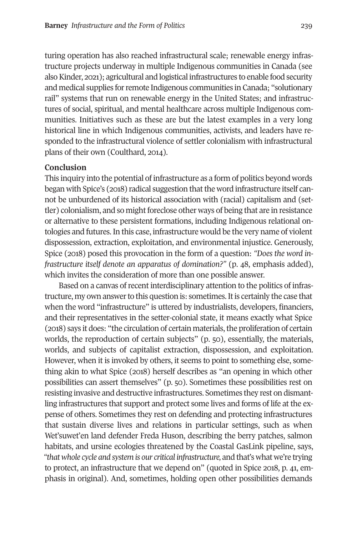turing operation has also reached infrastructural scale; renewable energy infrastructure projects underway in multiple Indigenous communities in Canada (see also Kinder, 2021); agricultural and logistical infrastructures to enable food security and medical supplies for remote Indigenous communities in Canada; "solutionary rail" systems that run on renewable energy in the United States; and infrastructures of social, spiritual, and mental healthcare across multiple Indigenous communities. Initiatives such as these are but the latest examples in a very long historical line in which Indigenous communities, activists, and leaders have responded to the infrastructural violence of settler colonialism with infrastructural plans of their own (Coulthard, 2014).

#### **Conclusion**

This inquiry into the potential of infrastructure as a form of politics beyond words began with Spice's (2018) radical suggestion that the word infrastructure itself cannot be unburdened of its historical association with (racial) capitalism and (settler) colonialism, and so might foreclose other ways of being that are in resistance or alternative to these persistent formations, including Indigenous relational ontologies and futures. In this case, infrastructure would be the very name of violent dispossession, extraction, exploitation, and environmental injustice. Generously, Spice (2018) posed this provocation in the form of a question: *"Does the word infrastructure itself denote an apparatus of domination?" (p. 48, emphasis added),* which invites the consideration of more than one possible answer.

Based on a canvas of recent interdisciplinary attention to the politics of infrastructure, my own answer to this question is: sometimes. It is certainly the case that when the word "infrastructure" is uttered by industrialists, developers, financiers, and their representatives in the setter-colonial state, it means exactly what Spice (2018) says it does: "the circulation of certain materials, the proliferation of certain worlds, the reproduction of certain subjects" (p. 50), essentially, the materials, worlds, and subjects of capitalist extraction, dispossession, and exploitation. However, when it is invoked by others, it seems to point to something else, something akin to what Spice (2018) herself describes as "an opening in which other possibilities can assert themselves" (p. 50). Sometimes these possibilities rest on resisting invasive and destructive infrastructures. Sometimes they rest on dismantling infrastructures that support and protect some lives and forms of life at the expense of others. Sometimes they rest on defending and protecting infrastructures that sustain diverse lives and relations in particular settings, such as when Wet'suwet'en land defender Freda Huson, describing the berry patches, salmon habitats, and ursine ecologies threatened by the Coastal GasLink pipeline, says, *"that whole cycle and system is our critical infrastructure,* and that's what we're trying to protect, an infrastructure that we depend on" (quoted in Spice 2018, p. 41, emphasis in original). And, sometimes, holding open other possibilities demands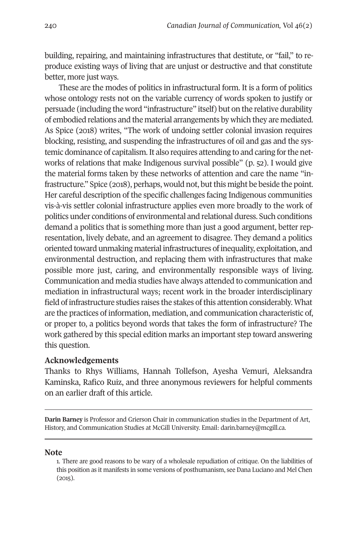building, repairing, and maintaining infrastructures that destitute, or "fail," to reproduce existing ways of living that are unjust or destructive and that constitute better, more just ways.

These are the modes of politics in infrastructural form. It is a form of politics whose ontology rests not on the variable currency of words spoken to justify or persuade (including the word "infrastructure" itself) but on the relative durability of embodied relations and the material arrangements by which they are mediated. As Spice (2018) writes, "The work of undoing settler colonial invasion requires blocking, resisting, and suspending the infrastructures of oil and gas and the systemic dominance of capitalism. It also requires attending to and caring for the networks of relations that make Indigenous survival possible" (p. 52). I would give the material forms taken by these networks of attention and care the name "infrastructure." Spice (2018), perhaps, would not, but this might be beside the point. Her careful description of the specific challenges facing Indigenous communities vis-à-vis settler colonial infrastructure applies even more broadly to the work of politics under conditions of environmental and relational duress. Such conditions demand a politics that is something more than just a good argument, better representation, lively debate, and an agreement to disagree. They demand a politics oriented toward unmaking material infrastructures of inequality, exploitation, and environmental destruction, and replacing them with infrastructures that make possible more just, caring, and environmentally responsible ways of living. Communication and media studies have always attended to communication and mediation in infrastructural ways; recent work in the broader interdisciplinary field of infrastructure studies raises the stakes of this attention considerably. What are the practices of information, mediation, and com[munication characte](mailto:darin.barney@mcgill.ca)ristic of, or proper to, a politics beyond words that takes the form of infrastructure? The work gathered by this special edition marks an important step toward answering this question.

### <span id="page-15-0"></span>**Acknowledgements**

Thanks to Rhys Williams, Hannah Tollefson, Ayesha Vemuri, Aleksandra Kaminska, Rafico Ruiz, and three anonymous reviewers for helpful comments on an earlier draft of this article.

#### **Note**

**Darin Barney** is Professor and Grierson Chair in communication studies in the Department of Art, History, and Communication Studies at McGill University. Email: darin.barney@mcgill.ca.

<sup>1.</sup> There are good reasons to be wary of a wholesale repudiation of critique. On the liabilities of this position as it manifests in some versions of posthumanism, see Dana Luciano and Mel Chen (2015).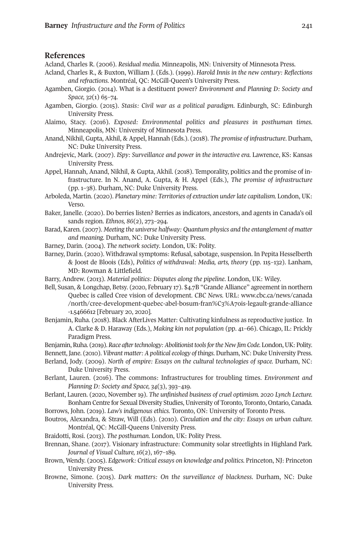**Barney** *Infrastructure and the Form of Politics* 241

#### **References**

Acland, Charles R. (2006). *Residual media.* Minneapolis, MN: University of Minnesota Press.

- Acland, Charles R., & Buxton, William J. (Eds.). (1999). *Harold Innis in the new century: Reflections and refractions*. Montréal, QC: McGill-Queen's University Press.
- Agamben, Giorgio. (2014). What is a destituent power? *Environment and Planning D: Society and Space, 32*(1) 65–74.
- Agamben, Giorgio. (2015). *Stasis: Civil war as a political paradigm.* Edinburgh, SC: Edinburgh University Press.
- Alaimo, Stacy. (2016). *Exposed: Environmental politics and pleasures in posthuman times.* Minneapolis, MN: University of Minnesota Press.
- Anand, Nikhil, Gupta, Akhil, & Appel, Hannah (Eds.). (2018). *The promise of infrastructure*. Durham, NC: Duke University Press.
- Andrejevic, Mark. (2007). *ISpy: Surveillance and power in the interactive era.* Lawrence, KS: Kansas University Press.
- Appel, Hannah, Anand, Nikhil, & Gupta, Akhil. (2018). Temporality, pol[itics and the promise of in](http://www.cbc.ca/news/canada/north/cree-development-quebec-abel-bosum-fran%C3%A7ois-legault-grande-alliance-1.5466612)[frastructure. In N. Anand, A. Gupta, & H. Appel \(Eds.\),](http://www.cbc.ca/news/canada/north/cree-development-quebec-abel-bosum-fran%C3%A7ois-legault-grande-alliance-1.5466612) *The promise of infrastructur[e](http://www.cbc.ca/news/canada/north/cree-development-quebec-abel-bosum-fran%C3%A7ois-legault-grande-alliance-1.5466612)* [\(pp. 1–38\).](http://www.cbc.ca/news/canada/north/cree-development-quebec-abel-bosum-fran%C3%A7ois-legault-grande-alliance-1.5466612) Durham, NC: Duke University Press.
- Arboleda, Martin. (2020). *Planetary mine: Territories of extraction under late capitalism.* London, UK: Verso.
- Baker, Janelle. (2020). Do berries listen? Berries as indicators, ancestors, and agents in Canada's oil sands region. *Ethnos, 86*(2), 273–294.
- Barad, Karen. (2007). *Meeting the universe halfway: Quantum physics and the entanglement of matter and meaning.* Durham, NC: Duke University Press.
- Barney, Darin. (2004). *The network society*. London, UK: Polity.
- Barney, Darin. (2020). Withdrawal symptoms: Refusal, sabotage, suspension. In Pepita Hesselberth & Joost de Bloois (Eds), *Politics of withdrawal: Media, arts, theory* (pp. 115–132). Lanham, MD: Rowman & Littlefield.
- Barry, Andrew. (2013). *Material politics: Disputes along the pipeline*. London, UK: Wiley.
- Bell, Susan, & Longchap, Betsy. (2020, February 17). \$4.7B "Grande Alliance" agreement in northern Quebec is called Cree vision of development. *CBC News.* URL: www.cbc.ca/news/canada /north/cree-development-quebec-abel-bosum-fran%C3%A7ois-legault-grande-alliance -1.5466612 [February 20, 2020].
- Benjamin, Ruha. (2018). Black AfterLives Matter: Cultivating kinfulness as reproductive justice. In A. Clarke & D. Haraway (Eds.), *Making kin not population* (pp. 41–66). Chicago, IL: Prickly Paradigm Press.

Benjamin, Ruha. (2019). *Race after technology: Abolitionist tools for the New Jim Code*. London, UK: Polity. Bennett, Jane. (2010). *Vibrant matter: A political ecology of things*. Durham, NC: Duke University Press.

- Berland, Jody. (2009). *North of empire: Essays on the cultural technologies of space.* Durham, NC: Duke University Press.
- Berlant, Lauren. (2016). The commons: Infrastructures for troubling times. *Environment and Planning D: Society and Space, 34*(3), 393–419.
- Berlant, Lauren. (2020, November 19). *The unfinished business of cruel optimism. 2020 Lynch Lecture.* Bonham Centre for Sexual Diversity Studies, University of Toronto, Toronto, Ontario, Canada. Borrows, John. (2019). *Law's indigenous ethics.* Toronto, ON: University of Toronto Press.

Boutros, Alexandra, & Straw, Will (Eds). (2010). *Circulation and the city: Essays on urban culture.* Montréal, QC: McGill-Queens University Press.

Braidotti, Rosi. (2013). *The posthuman.* London, UK: Polity Press.

- Brennan, Shane. (2017). Visionary infrastructure: Community solar streetlights in Highland Park*. Journal of Visual Culture, 16*(2), 167–189.
- Brown, Wendy. (2005). *Edgework: Critical essays on knowledge and politics.* Princeton, NJ: Princeton University Press.
- Browne, Simone. (2015). *Dark matters: On the surveillance of blackness*. Durham, NC: Duke University Press.

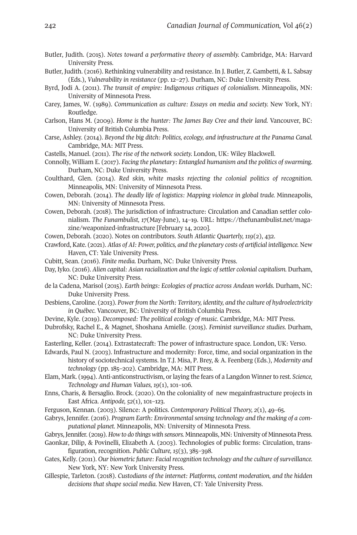- Butler, Judith. (2015). *Notes toward a performative theory of assembly.* Cambridge, MA: Harvard University Press.
- Butler, Judith. (2016). Rethinking vulnerability and resistance. In J. Butler, Z. Gambetti, & L. Sabsay (Eds.), *Vulnerability in resistance* (pp. 12–27). Durham, NC: Duke University Press.
- Byrd, Jodi A. (2011). *The transit of empire: Indigenous critiques of colonialism.* Minneapolis, MN: University of Minnesota Press.
- Carey, J[ames, W. \(1989\).](https://thefunambulist.net/magazine/weaponized-infrastructure) *Communication as culture: Essays o[n media and society.](https://thefunambulist.net/magazine/weaponized-infrastructure)* New York, NY: Routledge.
- Carlson, Hans M. (2009). *Home is the hunter: The James Bay Cree and their land.* Vancouver, BC: University of British Columbia Press.
- Carse, Ashley. (2014). *Beyond the big ditch: Politics, ecology, and infrastructure at the Panama Canal.* Cambridge, MA: MIT Press.
- Castells, Manuel. (2011). *The rise of the network society.* London, UK: Wiley Blackwell.
- Connolly, William E. (2017). *Facing the planetary: Entangled humanism and the politics of swarming.* Durham, NC: Duke University Press.
- Coulthard, Glen. (2014). *Red skin, white masks rejecting the colonial politics of recognition.* Minneapolis, MN: University of Minnesota Press.
- Cowen, Deborah. (2014). *The deadly life of logistics: Mapping violence in global trade.* Minneapolis, MN: University of Minnesota Press.
- Cowen, Deborah. (2018). The jurisdiction of infrastructure: Circulation and Canadian settler colonialism. *The Funambulist, 17*(May-June), 14–19. URL: https://thefunambulist.net/magazine/weaponized-infrastructure [February 14, 2020].
- Cowen, Deborah. (2020). Notes on contributors. *South Atlantic Quarterly, 119*(2), 432.
- Crawford, Kate. (2021). *Atlas of AI: Power, politics, and the planetary costs of artificial intelligence.* New Haven, CT: Yale University Press.
- Cubitt, Sean. (2016). *Finite media.* Durham, NC: Duke University Press.
- Day, Iyko. (2016). *Alien capital: Asian racialization and the logic of settler colonial capitalism.* Durham, NC: Duke University Press.
- de la Cadena, Marisol (2015). *Earth beings: Ecologies of practice across Andean worlds.* Durham, NC: Duke University Press.
- Desbiens, Caroline. (2013). *Power from the North: Territory, identity, and the culture of hydroelectricity in Québec.* Vancouver, BC: University of British Columbia Press.
- Devine, Kyle. (2019). *Decomposed: The political ecology of music*. Cambridge, MA: MIT Press.
- Dubrofsky, Rachel E., & Magnet, Shoshana Amielle. (2015). *Feminist surveillance studies.* Durham, NC: Duke University Press.
- Easterling, Keller. (2014). Extrastatecraft: The power of infrastructure space. London, UK: Verso.
- Edwards, Paul N. (2003). Infrastructure and modernity: Force, time, and social organization in the history of sociotechnical systems. In T.J. Misa, P. Brey, & A. Feenberg (Eds.), *Modernity and technology* (pp. 185–202). Cambridge, MA: MIT Press.
- Elam, Mark. (1994). Anti-anticonstructivism, or laying the fears of a Langdon Winner to rest. *Science, Technology and Human Values, 19*(1), 101–106.
- Enns, Charis, & Bersaglio. Brock. (2020). On the coloniality of new megainfrastructure projects in East Africa. *Antipode, 52*(1), 101–123.
- Ferguson, Kennan. (2003). Silence: A politics. *Contemporary Political Theory, 2*(1), 49–65.
- Gabrys, Jennifer. (2016). *Program Earth: Environmental sensing technology and the making of a computational planet.* Minneapolis, MN: University of Minnesota Press.
- Gabrys, Jennifer. (2019). *How to do things with sensors.* Minneapolis, MN: University of Minnesota Press.
- Gaonkar, Dilip, & Povinelli, Elizabeth A. (2003). Technologies of public forms: Circulation, transfiguration, recognition. *Public Culture, 15*(3), 385–398.
- Gates, Kelly. (2011). *Our biometric future: Facial recognition technology and the culture of surveillance.* New York, NY: New York University Press.
- Gillespie, Tarleton. (2018). *Custodians of the internet: Platforms, content moderation, and the hidden decisions that shape social media.* New Haven, CT: Yale University Press.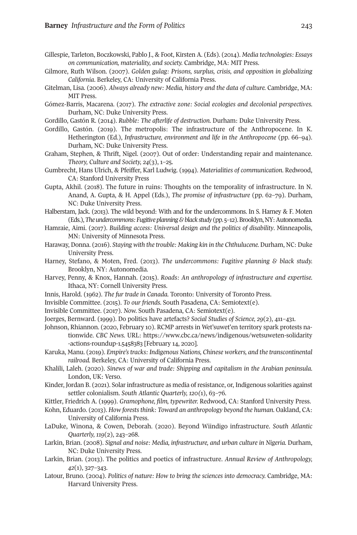#### **Barney** *Infrastructure and the Form of Politics* 243

- Gillespie, Tarleton, Boczkowski, Pablo J., & Foot, Kirsten A. (Eds). (2014). *Media technologies: Essays on communication, materiality, and society.* Cambridge, MA: MIT Press.
- Gilmore, Ruth Wilson. (2007). *Golden gulag: Prisons, surplus, crisis, and opposition in globalizing California*. Berkeley, CA: University of California Press.
- Gitelman, Lisa. (2006). *Always already new: Media, history and the data of culture.* Cambridge, MA: MIT Press.
- Gómez-Barris, Macarena. (2017). *The extractive zone: Social ecologies and decolonial perspectives.* Durham, NC: Duke University Press.
- Gordillo, Gastón R. (2014). *Rubble: The afterlife of destruction*. Durham: Duke University Press.
- Gordillo, Gastón. (2019). The metropolis: The infrastructure of the Anthropocene. In K. Hetherington (Ed.), *Infrastructure, environment and life in the Anthropocene* (pp. 66–94). Durham, NC: Duke University Press.
- Graham, Stephen, & Thrift, Nigel. (2007). Out of order: Understanding repair and maintenance. *Theory, Culture and Society, 24*(3), 1–25.
- Gumbrecht, Hans Ulrich, & Pfeiffer, Karl Ludwig. (1994). *Materialities of communication*. Redwood, CA: Stanford University Press
- Gupta, Akhil. (2018). The future in ruins: Thoughts on the temporality of infrastructure. In N. Anand, A. Gupta, & H. Appel (Eds.), *The promise of infrastructure* (pp. 62–79). Durham, NC: Duke University Press.
- Halberstam, Jack. (2013). The wild be[yond: With and for the undercommons. In S. Harney & F. Moten](https://www.cbc.ca/news/indigenous/wetsuweten-solidarity-actions-roundup-1.5458383)  (Eds.), *[The undercommons: Fug](https://www.cbc.ca/news/indigenous/wetsuweten-solidarity-actions-roundup-1.5458383)itive planning & black study* (pp. 5–12). Brooklyn, NY: Autonomedia.
- Hamraie, Aimi. (2017). *Building access: Universal design and the politics of disability*. Minneapolis, MN: University of Minnesota Press.
- Haraway, Donna. (2016). *Staying with the trouble: Making kin in the Chthulucene.* Durham, NC: Duke University Press.
- Harney, Stefano, & Moten, Fred. (2013). *The undercommons: Fugitive planning & black study.* Brooklyn, NY: Autonomedia.
- Harvey, Penny, & Knox, Hannah. (2015). *Roads: An anthropology of infrastructure and expertise.* Ithaca, NY: Cornell University Press.
- Innis, Harold. (1962). *The fur trade in Canada.* Toronto: University of Toronto Press.
- Invisible Committee. (2015). *To our friends.* South Pasadena, CA: Semiotext(e).
- Invisible Committee. (2017). *Now.* South Pasadena, CA: Semiotext(e).
- Joerges, Bernward. (1999). Do politics have artefacts? *Social Studies of Science, 29*(2), 411–431.
- Johnson, Rhiannon. (2020, February 10). RCMP arrests in Wet'suwet'en territory spark protests nationwide. *CBC News.* URL: https://www.cbc.ca/news/indigenous/wetsuweten-solidarity -actions-roundup-1.5458383 [February 14, 2020].
- Karuka, Manu. (2019). *Empire's tracks: Indigenous Nations, Chinese workers, and the transcontinental railroad.* Berkeley, CA: University of California Press.
- Khalili, Laleh. (2020). *Sinews of war and trade: Shipping and capitalism in the Arabian peninsula.* London, UK: Verso.
- Kinder, Jordan B. (2021). Solar infrastructure as media of resistance, or, Indigenous solarities against settler colonialism. *South Atlantic Quarterly, 120(*1), 63–76.
- Kittler, Friedrich A. (1999). *Gramophone, film, typewriter.* Redwood, CA: Stanford University Press.
- Kohn, Eduardo. (2013). *How forests think: Toward an anthropology beyond the human.* Oakland, CA: University of California Press.
- LaDuke, Winona, & Cowen, Deborah. (2020). Beyond Wiindigo infrastructure. *South Atlantic Quarterly, 119*(2), 243–268.
- Larkin, Brian. (2008). *Signal and noise: Media, infrastructure, and urban culture in Nigeria.* Durham, NC: Duke University Press.
- Larkin, Brian. (2013). The politics and poetics of infrastructure. *Annual Review of Anthropology, 42*(1), 327–343.
- Latour, Bruno. (2004). *Politics of nature: How to bring the sciences into democracy.* Cambridge, MA: Harvard University Press.

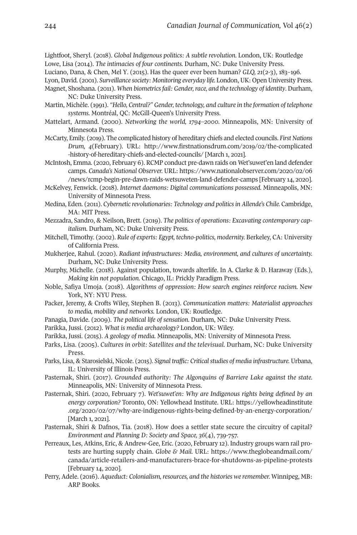Lightfoot, Sheryl. (2018). *Global Indigenous politics: A subtle revolution.* [London, UK: Routledge](https://www.nationalobserver.com/2020/02/06/news/rcmp-begin-pre-dawn-raids-wetsuweten-land-defender-camps) Lowe, Lisa (2014). *[The intimacies of four continents.](https://www.nationalobserver.com/2020/02/06/news/rcmp-begin-pre-dawn-raids-wetsuweten-land-defender-camps)* Durham, NC: Duke University Press.

Luciano, Dana, & Chen, Mel Y. (2015). Has the queer ever been human? *GLQ, 21*(2-3), 183–196.

- Lyon, David. (2001). *Surveillance society: Monitoring everyday life.* London, UK: Open University Press. Magnet, Shoshana. (2011). *When biometrics fail: Gender, race, and the technology of identity*. Durham, NC: Duke University Press.
- Martin, Michèle. (1991). *"Hello, Central?" Gender, technology, and culture in the formation of telephone systems.* Montréal, QC: McGill-Queen's University Press.
- Mattelart, Armand. (2000). *Networking the world, 1794–2000.* Minneapolis, MN: University of Minnesota Press.
- McCarty, Emily. (2019). The complicated history of hereditary chiefs and elected councils. *First Nations Drum, 4*(February). URL: http://www.firstnationsdrum.com/2019/02/the-complicated -history-of-hereditary-chiefs-and-elected-councils/ [March 1, 2021].
- McIntosh, Emma. (2020, February 6). RCMP conduct pre-dawn raids on Wet'suwet'en land defender camps. *Canada's National Observer.* URL: https://www.nationalobserver.com/2020/02/06 /news/rcmp-begin-pre-dawn-raids-wetsuweten-land-defender-camps [February 14, 2020].
- McKelvey, Fenwick. (2018). *Internet daemons: Digital communications possessed.* Minneapolis, MN: University of Minnesota Press.
- Medina, Eden. (2011). *Cybernetic revolutionaries: Technology and politics in Allende's Chile.* Cambridge, MA: MIT Press.
- Mezzadra, Sandro, & Neilson, Brett. (2019). *The politics of operations: Excavating contemporary capitalism.* Durham, NC: Duke University Press.
- Mitchell, Timothy. (2002). *Rule of experts: Egypt, techno-politics, modernity.* Berkeley, CA: University of California Press.
- Mukherjee, Rahul. (2020). *Radiant infrastructures: Media, environment, and cultures of uncertainty.* Durham, NC: Duke University Press.
- Murphy, Michelle. (2018). Against population, towards alterlife. In A. Clarke & D. Haraway (Eds.), *Making kin not population.* Chicago, IL: Prickly Paradigm Press.
- Noble, Safiya Umoja. (2018). *[Algorithms of oppression: How search engines reinforce racism.](https://yellowheadinstitute.org/2020/02/07/why-are-indigenous-rights-being-defined-by-an-energy-corporation)* Ne[w](https://yellowheadinstitute.org/2020/02/07/why-are-indigenous-rights-being-defined-by-an-energy-corporation)  York, NY: NYU Press.
- Packer, Jeremy, & Crofts Wiley, Stephen B. (2013). *Communication matters: Materialist approaches to media, mobility and networks.* London, UK: Routledge.
- Panagia, Davide. (2009). *The political life of sensation.* Durham, NC: Duke University Press.
- Parikka, Jussi. (2012). *What is media archaeology?* London, UK: Wiley.
- Parikka, Jussi. (2015). *A geology of media.* Minneapolis, MN: [University of Minnesota Press.](https://www.theglobeandmail.com/canada/article-retailers-and-manufacturers-brace-for-shutdowns-as-pipeline-protests/)
- Parks, Lisa. (2005). *[Cultures in orbit: Satellites and the televisual.](https://www.theglobeandmail.com/canada/article-retailers-and-manufacturers-brace-for-shutdowns-as-pipeline-protests/)* Durham, NC: Duke University Press.
- Parks, Lisa, & Starosielski, Nicole. (2015). *Signal traffic: Critical studies of media infrastructure.* Urbana, IL: University of Illinois Press.
- Pasternak, Shiri. (2017). *Grounded authority: The Algonquins of Barriere Lake against the state.*  Minneapolis, MN: University of Minnesota Press.
- Pasternak, Shiri. (2020, February 7). *Wet'suwet'en: Why are Indigenous rights being defined by an energy corporation?* Toronto, ON: Yellowhead Institute. URL: https://yellowheadinstitute .org/2020/02/07/why-are-indigenous-rights-being-defined-by-an-energy-corporation/ [March 1, 2021].
- Pasternak, Shiri & Dafnos, Tia. (2018). How does a settler state secure the circuitry of capital? *Environment and Planning D: Society and Space, 36*(4), 739-757.
- Perreaux, Les, Atkins, Eric, & Andrew-Gee, Eric. (2020, February 12). Industry groups warn rail protests are hurting supply chain. *Globe & Mail.* URL: https://www.theglobeandmail.com/ canada/article-retailers-and-manufacturers-brace-for-shutdowns-as-pipeline-protests [February 14, 2020].
- Perry, Adele. (2016). *Aqueduct: Colonialism, resources, and the histories we remember.* Winnipeg, MB: ARP Books.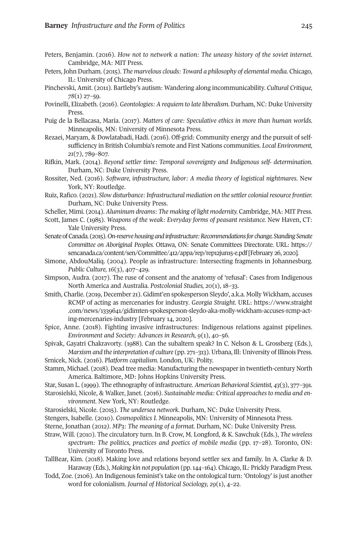#### **Barney** *Infrastructure and the Form of Politics* 245

- Peters, Benjamin. (2016). *How not to network a nation: The uneasy history of the soviet internet.*  Cambridge, MA: MIT Press.
- Peters, John Durham. (2015). *The marvelous clouds: Toward a philosophy of elemental media*. Chicago, IL: University of Chicago Press.
- Pinchevski, Amit. (2011). Bartleby's autism: Wandering along incommunicability. *Cultural Critique, 78*(1) 27–59.
- Povinelli, Elizabeth. (2016). *Geontologies: A requiem to late liberalism.* Durham, NC: Duke University Press.
- Puig de la Bellacasa, María. (2017). *Matters of care: Speculative ethics in more than huma[n worlds.](https://sencanada.ca/content/sen/Committee/412/appa/rep/rep12jun15-e.pdf)* Minneapolis, MN: University of Minnesota Press.
- Rezaei, [Maryam, & Dowlatabadi, Hadi. \(2016\). Off-grid: Community energy](https://sencanada.ca/content/sen/Committee/412/appa/rep/rep12jun15-e.pdf) and the pursuit of selfsufficiency in British Columbia's remote and First Nations communities. *Local Environment, 21*(7), 789–807.
- Rifkin, Mark. (2014). *Beyond settler time: Temporal sovereignty and Indigenous self- determination.* Durham, NC: Duke University Press.
- Rossiter, Ned. (2016). *Software, infrastructure, labor: A media theory of logi[stical nightmares](https://www.straight.com/news/1339641/gidimten-spokesperson-sleydo-aka-molly-wickham-accuses-rcmp-acting-mercenaries-industry)*. Ne[w](https://www.straight.com/news/1339641/gidimten-spokesperson-sleydo-aka-molly-wickham-accuses-rcmp-acting-mercenaries-industry)  York, NY: Routledge.
- Ruiz, Rafico. (2021). *[Slow disturbance: Infrastructural mediation on the settler colonial resource frontier.](https://www.straight.com/news/1339641/gidimten-spokesperson-sleydo-aka-molly-wickham-accuses-rcmp-acting-mercenaries-industry)* [Durham, NC: Duke Unive](https://www.straight.com/news/1339641/gidimten-spokesperson-sleydo-aka-molly-wickham-accuses-rcmp-acting-mercenaries-industry)rsity Press.
- Scheller, Mimi. (2014). *Aluminum dreams: The making of light modernity.* Cambridge, MA: MIT Press.
- Scott, James C. (1985). *Weapons of the weak: Everyday forms of peasant resistance.* New Haven, CT: Yale University Press.
- Senate of Canada. (2015). *On-reserve housing and infrastructure: Recommendations for change. Standing Senate Committee on Aboriginal Peoples.* Ottawa, ON: Senate Committees Directorate. URL: https:// sencanada.ca/content/sen/Committee/412/appa/rep/rep12jun15-e.pdf [February 26, 2020].
- Simone, AbdouMaliq. (2004). People as infrastructure: Intersecting fragments in Johannesburg. *Public Culture, 16*(3), 407–429.
- Simpson, Audra. (2017). The ruse of consent and the anatomy of 'refusal': Cases from Indigenous North America and Australia. *Postcolonial Studies, 20*(1), 18–33.
- Smith, Charlie. (2019, December 21). Gidimt'en spokesperson Sleydo', a.k.a. Molly Wickham, accuses RCMP of acting as mercenaries for industry. *Georgia Straight.* URL: https://www.straight .com/news/1339641/gidimten-spokesperson-sleydo-aka-molly-wickham-accuses-rcmp-acting-mercenaries-industry [February 14, 2020].
- Spice, Anne. (2018). Fighting invasive infrastructures: Indigenous relations against pipelines. *Environment and Society: Advances in Research, 9*(1), 40–56.
- Spivak, Gayatri Chakravorty. (1988). Can the subaltern speak? In C. Nelson & L. Grossberg (Eds.), *Marxism and the interpretation of culture* (pp. 271–313). Urbana, Ill: University of Illinois Press. Srnicek, Nick. (2016). *Platform capitalism.* London, UK: Polity.
- Stamm, Michael. (2018). Dead tree media: Manufacturing the newspaper in twentieth-century North America. Baltimore, MD: Johns Hopkins University Press.
- Star, Susan L. (1999). The ethnography of infrastructure. *American Behavioral Scientist, 43*(3), 377–391.
- Starosielski, Nicole, & Walker, Janet. (2016*). Sustainable media: Critical approaches to media and environment*. New York, NY: Routledge.
- Starosielski, Nicole. (2015). *The undersea network.* Durham, NC: Duke University Press.
- Stengers, Isabelle. (2010). *Cosmopolitics I*. Minneapolis, MN: University of Minnesota Press.
- Sterne, Jonathan (2012*). MP3: The meaning of a format.* Durham, NC: Duke University Press.
- Straw, Will. (2010). The circulatory turn. In B. Crow, M. Longford, & K. Sawchuk (Eds.), *The wireless spectrum: The politics, practices and poetics of mobile media* (pp. 17–28). Toronto, ON: University of Toronto Press.
- TallBear, Kim. (2018). Making love and relations beyond settler sex and family. In A. Clarke & D. Haraway (Eds.), *Making kin not population* (pp. 144–164). Chicago, IL: Prickly Paradigm Press.
- Todd, Zoe. (2106). An Indigenous feminist's take on the ontological turn: 'Ontology' is just another word for colonialism. *Journal of Historical Sociology, 29*(1), 4–22.